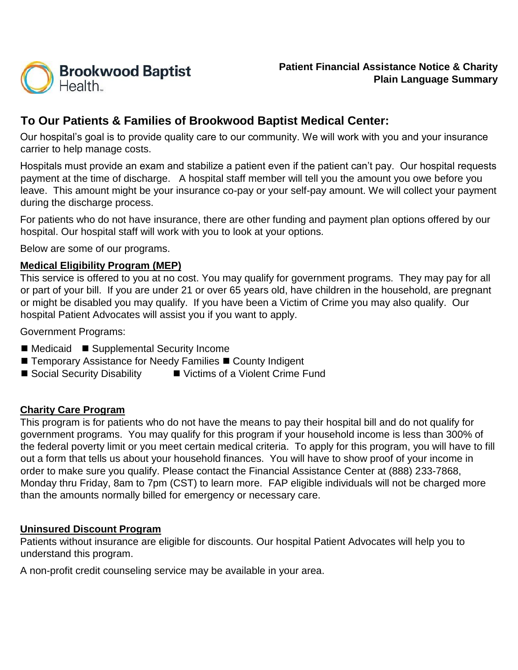

# **To Our Patients & Families of Brookwood Baptist Medical Center:**

 Our hospital's goal is to provide quality care to our community. We will work with you and your insurance carrier to help manage costs.

 payment at the time of discharge. A hospital staff member will tell you the amount you owe before you Hospitals must provide an exam and stabilize a patient even if the patient can't pay. Our hospital requests leave. This amount might be your insurance co-pay or your self-pay amount. We will collect your payment during the discharge process.

For patients who do not have insurance, there are other funding and payment plan options offered by our hospital. Our hospital staff will work with you to look at your options.

Below are some of our programs.

### **Medical Eligibility Program (MEP)**

This service is offered to you at no cost. You may qualify for government programs. They may pay for all or part of your bill. If you are under 21 or over 65 years old, have children in the household, are pregnant or might be disabled you may qualify. If you have been a Victim of Crime you may also qualify. Our hospital Patient Advocates will assist you if you want to apply.

Government Programs:

- Medicaid Supplemental Security Income
- $\blacksquare$  Temporary Assistance for Needy Families  $\blacksquare$  County Indigent
- Social Security Disability Victims of a Violent Crime Fund

#### **Charity Care Program**

 government programs. You may qualify for this program if your household income is less than 300% of the federal poverty limit or you meet certain medical criteria. To apply for this program, you will have to fill Monday thru Friday, 8am to 7pm (CST) to learn more. FAP eligible individuals will not be charged more This program is for patients who do not have the means to pay their hospital bill and do not qualify for out a form that tells us about your household finances. You will have to show proof of your income in order to make sure you qualify. Please contact the Financial Assistance Center at (888) 233-7868, than the amounts normally billed for emergency or necessary care.

#### **Uninsured Discount Program**

Patients without insurance are eligible for discounts. Our hospital Patient Advocates will help you to understand this program.

A non-profit credit counseling service may be available in your area.